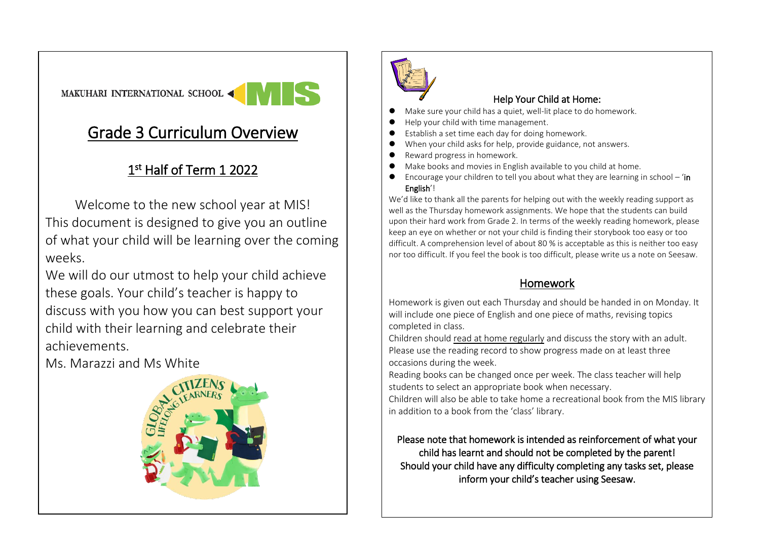# MAKUHARI INTERNATIONAL SCHOOL <

# Grade 3 Curriculum Overview

## 1<sup>st</sup> Half of Term 1 2022

Welcome to the new school year at MIS! This document is designed to give you an outline of what your child will be learning over the coming weeks.

We will do our utmost to help your child achieve these goals. Your child's teacher is happy to discuss with you how you can best support your child with their learning and celebrate their achievements.

Ms. Marazzi and Ms White





### Help Your Child at Home:

- Make sure your child has a quiet, well-lit place to do homework.
- ⚫ Help your child with time management.
- Establish a set time each day for doing homework.
- When your child asks for help, provide guidance, not answers.
- ⚫ Reward progress in homework.
- ⚫ Make books and movies in English available to you child at home.
- $\bullet$  Encourage your children to tell you about what they are learning in school 'in English'!

We'd like to thank all the parents for helping out with the weekly reading support as well as the Thursday homework assignments. We hope that the students can build upon their hard work from Grade 2. In terms of the weekly reading homework, please keep an eye on whether or not your child is finding their storybook too easy or too difficult. A comprehension level of about 80 % is acceptable as this is neither too easy nor too difficult. If you feel the book is too difficult, please write us a note on Seesaw.

## Homework

Homework is given out each Thursday and should be handed in on Monday. It will include one piece of English and one piece of maths, revising topics completed in class.

Children should read at home regularly and discuss the story with an adult. Please use the reading record to show progress made on at least three occasions during the week.

Reading books can be changed once per week. The class teacher will help students to select an appropriate book when necessary.

Children will also be able to take home a recreational book from the MIS library in addition to a book from the 'class' library.

### Please note that homework is intended as reinforcement of what your child has learnt and should not be completed by the parent! Should your child have any difficulty completing any tasks set, please inform your child's teacher using Seesaw.